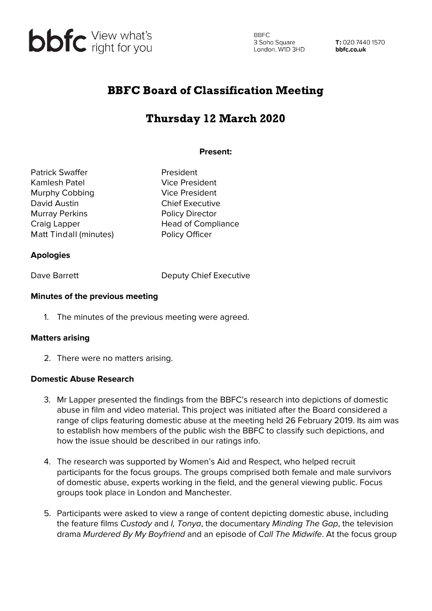

**BBFC** 3 Soho Square 3 Soho Square<br>London, W1D 3HD

T: 020 7440 1570 bbfc.co.uk

## BBFC Board of Classification Meeting

# Thursday 12 March 2020

#### **Present:**

Patrick Swaffer **President** Kamlesh Patel **Vice President** Murphy Cobbing Vice President David Austin **Chief Executive** Murray Perkins **Policy Director** Craig Lapper **Head of Compliance** Matt Tindall (minutes) Policy Officer

### **Apologies**

Dave Barrett Deputy Chief Executive

#### **Minutes of the previous meeting**

1. The minutes of the previous meeting were agreed.

#### **Matters arising**

2. There were no matters arising.

#### **Domestic Abuse Research**

- 3. Mr Lapper presented the findings from the BBFC's research into depictions of domestic abuse in film and video material. This project was initiated after the Board considered a range of clips featuring domestic abuse at the meeting held 26 February 2019. Its aim was to establish how members of the public wish the BBFC to classify such depictions, and how the issue should be described in our ratings info.
- 4. The research was supported by Women's Aid and Respect, who helped recruit participants for the focus groups. The groups comprised both female and male survivors of domestic abuse, experts working in the field, and the general viewing public. Focus groups took place in London and Manchester.
- 5. Participants were asked to view a range of content depicting domestic abuse, including the feature films Custody and I, Tonya, the documentary Minding The Gap, the television drama Murdered By My Boyfriend and an episode of Call The Midwife. At the focus group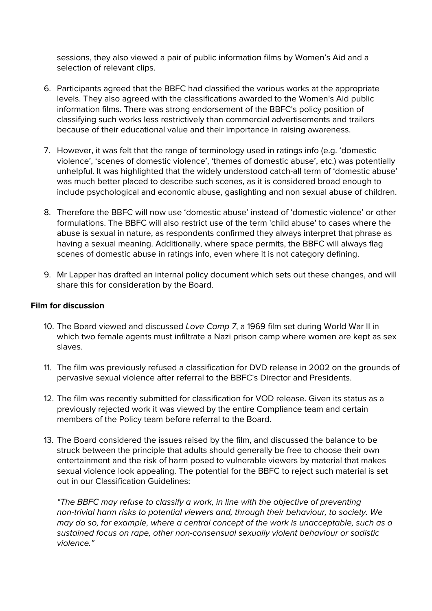sessions, they also viewed a pair of public information films by Women's Aid and a selection of relevant clips.

- 6. Participants agreed that the BBFC had classified the various works at the appropriate levels. They also agreed with the classifications awarded to the Women's Aid public information films. There was strong endorsement of the BBFC's policy position of classifying such works less restrictively than commercial advertisements and trailers because of their educational value and their importance in raising awareness.
- 7. However, it was felt that the range of terminology used in ratings info (e.g. 'domestic violence', 'scenes of domestic violence', 'themes of domestic abuse', etc.) was potentially unhelpful. It was highlighted that the widely understood catch-all term of 'domestic abuse' was much better placed to describe such scenes, as it is considered broad enough to include psychological and economic abuse, gaslighting and non sexual abuse of children.
- 8. Therefore the BBFC will now use 'domestic abuse' instead of 'domestic violence' or other formulations. The BBFC will also restrict use of the term 'child abuse' to cases where the abuse is sexual in nature, as respondents confirmed they always interpret that phrase as having a sexual meaning. Additionally, where space permits, the BBFC will always flag scenes of domestic abuse in ratings info, even where it is not category defining.
- 9. Mr Lapper has drafted an internal policy document which sets out these changes, and will share this for consideration by the Board.

#### **Film for discussion**

- 10. The Board viewed and discussed Love Camp 7, a 1969 film set during World War II in which two female agents must infiltrate a Nazi prison camp where women are kept as sex slaves.
- 11. The film was previously refused a classification for DVD release in 2002 on the grounds of pervasive sexual violence after referral to the BBFC's Director and Presidents.
- 12. The film was recently submitted for classification for VOD release. Given its status as a previously rejected work it was viewed by the entire Compliance team and certain members of the Policy team before referral to the Board.
- 13. The Board considered the issues raised by the film, and discussed the balance to be struck between the principle that adults should generally be free to choose their own entertainment and the risk of harm posed to vulnerable viewers by material that makes sexual violence look appealing. The potential for the BBFC to reject such material is set out in our Classification Guidelines:

"The BBFC may refuse to classify a work, in line with the objective of preventing non-trivial harm risks to potential viewers and, through their behaviour, to society. We may do so, for example, where a central concept of the work is unacceptable, such as a sustained focus on rape, other non-consensual sexually violent behaviour or sadistic violence."